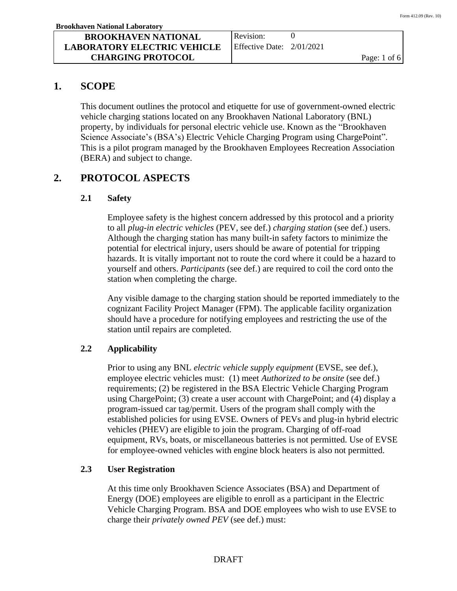Revision: Effective Date: 2/01/2021  $\Omega$ 

# **1. SCOPE**

This document outlines the protocol and etiquette for use of government-owned electric vehicle charging stations located on any Brookhaven National Laboratory (BNL) property, by individuals for personal electric vehicle use. Known as the "Brookhaven Science Associate's (BSA's) Electric Vehicle Charging Program using ChargePoint". This is a pilot program managed by the Brookhaven Employees Recreation Association (BERA) and subject to change.

# **2. PROTOCOL ASPECTS**

### **2.1 Safety**

Employee safety is the highest concern addressed by this protocol and a priority to all *plug-in electric vehicles* (PEV, see def.) *charging station* (see def.) users. Although the charging station has many built-in safety factors to minimize the potential for electrical injury, users should be aware of potential for tripping hazards. It is vitally important not to route the cord where it could be a hazard to yourself and others. *Participants* (see def.) are required to coil the cord onto the station when completing the charge.

Any visible damage to the charging station should be reported immediately to the cognizant Facility Project Manager (FPM). The applicable facility organization should have a procedure for notifying employees and restricting the use of the station until repairs are completed.

### **2.2 Applicability**

Prior to using any BNL *electric vehicle supply equipment* (EVSE, see def.), employee electric vehicles must: (1) meet *Authorized to be onsite* (see def.) requirements; (2) be registered in the BSA Electric Vehicle Charging Program using ChargePoint; (3) create a user account with ChargePoint; and (4) display a program-issued car tag/permit. Users of the program shall comply with the established policies for using EVSE. Owners of PEVs and plug-in hybrid electric vehicles (PHEV) are eligible to join the program. Charging of off-road equipment, RVs, boats, or miscellaneous batteries is not permitted. Use of EVSE for employee-owned vehicles with engine block heaters is also not permitted.

### **2.3 User Registration**

At this time only Brookhaven Science Associates (BSA) and Department of Energy (DOE) employees are eligible to enroll as a participant in the Electric Vehicle Charging Program. BSA and DOE employees who wish to use EVSE to charge their *privately owned PEV* (see def.) must: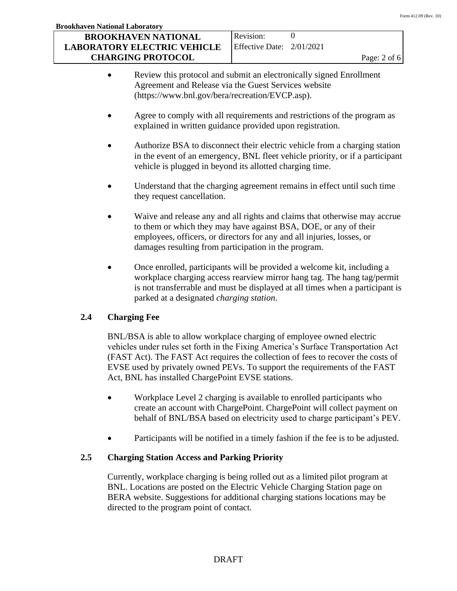| <b>Brookhaven National Laboratory</b> |                             |                |
|---------------------------------------|-----------------------------|----------------|
| <b>BROOKHAVEN NATIONAL</b>            | Revision:                   |                |
| <b>LABORATORY ELECTRIC VEHICLE</b>    | Effective Date: $2/01/2021$ |                |
| <b>CHARGING PROTOCOL</b>              |                             | Page: $2$ of 6 |

- Review this protocol and submit an electronically signed Enrollment Agreement and Release via the Guest Services website (https://www.bnl.gov/bera/recreation/EVCP.asp).
- Agree to comply with all requirements and restrictions of the program as explained in written guidance provided upon registration.
- Authorize BSA to disconnect their electric vehicle from a charging station in the event of an emergency, BNL fleet vehicle priority, or if a participant vehicle is plugged in beyond its allotted charging time.
- Understand that the charging agreement remains in effect until such time they request cancellation.
- Waive and release any and all rights and claims that otherwise may accrue to them or which they may have against BSA, DOE, or any of their employees, officers, or directors for any and all injuries, losses, or damages resulting from participation in the program.
- Once enrolled, participants will be provided a welcome kit, including a workplace charging access rearview mirror hang tag. The hang tag/permit is not transferrable and must be displayed at all times when a participant is parked at a designated *charging station*.

# **2.4 Charging Fee**

BNL/BSA is able to allow workplace charging of employee owned electric vehicles under rules set forth in the Fixing America's Surface Transportation Act (FAST Act). The FAST Act requires the collection of fees to recover the costs of EVSE used by privately owned PEVs. To support the requirements of the FAST Act, BNL has installed ChargePoint EVSE stations.

- Workplace Level 2 charging is available to enrolled participants who create an account with ChargePoint. ChargePoint will collect payment on behalf of BNL/BSA based on electricity used to charge participant's PEV.
- Participants will be notified in a timely fashion if the fee is to be adjusted.

# **2.5 Charging Station Access and Parking Priority**

Currently, workplace charging is being rolled out as a limited pilot program at BNL. Locations are posted on the Electric Vehicle Charging Station page on BERA website. Suggestions for additional charging stations locations may be directed to the program point of contact.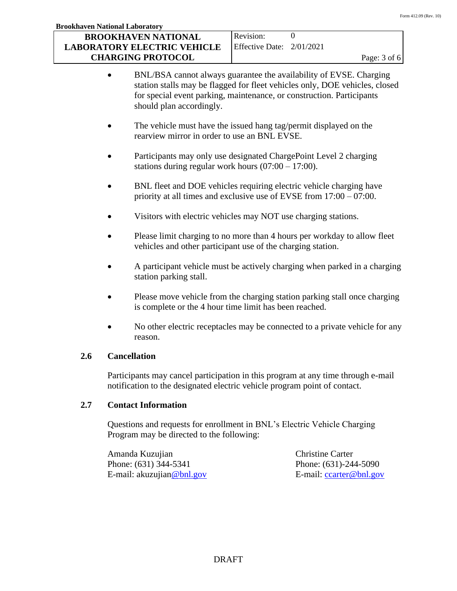| <b>Brookhaven National Laboratory</b> |                             |                         |
|---------------------------------------|-----------------------------|-------------------------|
| <b>BROOKHAVEN NATIONAL</b>            | Revision:                   |                         |
| <b>LABORATORY ELECTRIC VEHICLE</b>    | Effective Date: $2/01/2021$ |                         |
| <b>CHARGING PROTOCOL</b>              |                             | Page: $3 \text{ of } 6$ |

- BNL/BSA cannot always guarantee the availability of EVSE. Charging station stalls may be flagged for fleet vehicles only, DOE vehicles, closed for special event parking, maintenance, or construction. Participants should plan accordingly.
- The vehicle must have the issued hang tag/permit displayed on the rearview mirror in order to use an BNL EVSE.
- Participants may only use designated ChargePoint Level 2 charging stations during regular work hours (07:00 – 17:00).
- BNL fleet and DOE vehicles requiring electric vehicle charging have priority at all times and exclusive use of EVSE from 17:00 – 07:00.
- Visitors with electric vehicles may NOT use charging stations.
- Please limit charging to no more than 4 hours per workday to allow fleet vehicles and other participant use of the charging station.
- A participant vehicle must be actively charging when parked in a charging station parking stall.
- Please move vehicle from the charging station parking stall once charging is complete or the 4 hour time limit has been reached.
- No other electric receptacles may be connected to a private vehicle for any reason.

### **2.6 Cancellation**

Participants may cancel participation in this program at any time through e-mail notification to the designated electric vehicle program point of contact.

### **2.7 Contact Information**

Questions and requests for enrollment in BNL's Electric Vehicle Charging Program may be directed to the following:

Amanda Kuzujian Christine Carter Phone: (631) 344-5341 Phone: (631)-244-5090 E-mail: akuzujia[n@bnl.gov](mailto:@bnl.gov) E-mail: [ccarter@bnl.gov](mailto:ccarter@bnl.gov)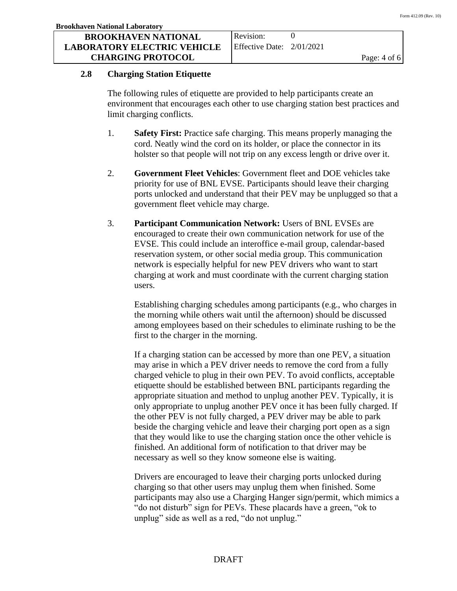### **BROOKHAVEN NATIONAL LABORATORY ELECTRIC VEHICLE CHARGING PROTOCOL**

#### **2.8 Charging Station Etiquette**

The following rules of etiquette are provided to help participants create an environment that encourages each other to use charging station best practices and limit charging conflicts.

- 1. **Safety First:** Practice safe charging. This means properly managing the cord. Neatly wind the cord on its holder, or place the connector in its holster so that people will not trip on any excess length or drive over it.
- 2. **Government Fleet Vehicles**: Government fleet and DOE vehicles take priority for use of BNL EVSE. Participants should leave their charging ports unlocked and understand that their PEV may be unplugged so that a government fleet vehicle may charge.
- 3. **Participant Communication Network:** Users of BNL EVSEs are encouraged to create their own communication network for use of the EVSE. This could include an interoffice e-mail group, calendar-based reservation system, or other social media group. This communication network is especially helpful for new PEV drivers who want to start charging at work and must coordinate with the current charging station users.

Establishing charging schedules among participants (e.g., who charges in the morning while others wait until the afternoon) should be discussed among employees based on their schedules to eliminate rushing to be the first to the charger in the morning.

If a charging station can be accessed by more than one PEV, a situation may arise in which a PEV driver needs to remove the cord from a fully charged vehicle to plug in their own PEV. To avoid conflicts, acceptable etiquette should be established between BNL participants regarding the appropriate situation and method to unplug another PEV. Typically, it is only appropriate to unplug another PEV once it has been fully charged. If the other PEV is not fully charged, a PEV driver may be able to park beside the charging vehicle and leave their charging port open as a sign that they would like to use the charging station once the other vehicle is finished. An additional form of notification to that driver may be necessary as well so they know someone else is waiting.

Drivers are encouraged to leave their charging ports unlocked during charging so that other users may unplug them when finished. Some participants may also use a Charging Hanger sign/permit, which mimics a "do not disturb" sign for PEVs. These placards have a green, "ok to unplug" side as well as a red, "do not unplug."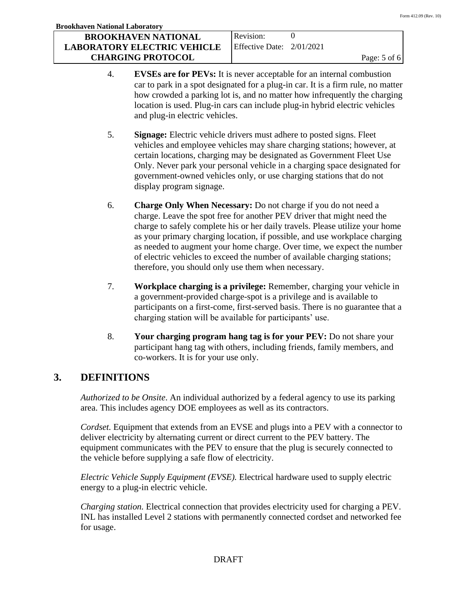#### **Brookhaven National Laboratory BROOKHAVEN NATIONAL LABORATORY ELECTRIC VEHICLE CHARGING PROTOCOL** Revision: Effective Date: 2/01/2021  $\Omega$ Page: 5 of 6

- 4. **EVSEs are for PEVs:** It is never acceptable for an internal combustion car to park in a spot designated for a plug-in car. It is a firm rule, no matter how crowded a parking lot is, and no matter how infrequently the charging location is used. Plug-in cars can include plug-in hybrid electric vehicles and plug-in electric vehicles.
- 5. **Signage:** Electric vehicle drivers must adhere to posted signs. Fleet vehicles and employee vehicles may share charging stations; however, at certain locations, charging may be designated as Government Fleet Use Only. Never park your personal vehicle in a charging space designated for government-owned vehicles only, or use charging stations that do not display program signage.
- 6. **Charge Only When Necessary:** Do not charge if you do not need a charge. Leave the spot free for another PEV driver that might need the charge to safely complete his or her daily travels. Please utilize your home as your primary charging location, if possible, and use workplace charging as needed to augment your home charge. Over time, we expect the number of electric vehicles to exceed the number of available charging stations; therefore, you should only use them when necessary.
- 7. **Workplace charging is a privilege:** Remember, charging your vehicle in a government-provided charge-spot is a privilege and is available to participants on a first-come, first-served basis. There is no guarantee that a charging station will be available for participants' use.
- 8. **Your charging program hang tag is for your PEV:** Do not share your participant hang tag with others, including friends, family members, and co-workers. It is for your use only.

# **3. DEFINITIONS**

*Authorized to be Onsite*. An individual authorized by a federal agency to use its parking area. This includes agency DOE employees as well as its contractors.

*Cordset.* Equipment that extends from an EVSE and plugs into a PEV with a connector to deliver electricity by alternating current or direct current to the PEV battery. The equipment communicates with the PEV to ensure that the plug is securely connected to the vehicle before supplying a safe flow of electricity.

*Electric Vehicle Supply Equipment (EVSE).* Electrical hardware used to supply electric energy to a plug-in electric vehicle.

*Charging station.* Electrical connection that provides electricity used for charging a PEV. INL has installed Level 2 stations with permanently connected cordset and networked fee for usage.